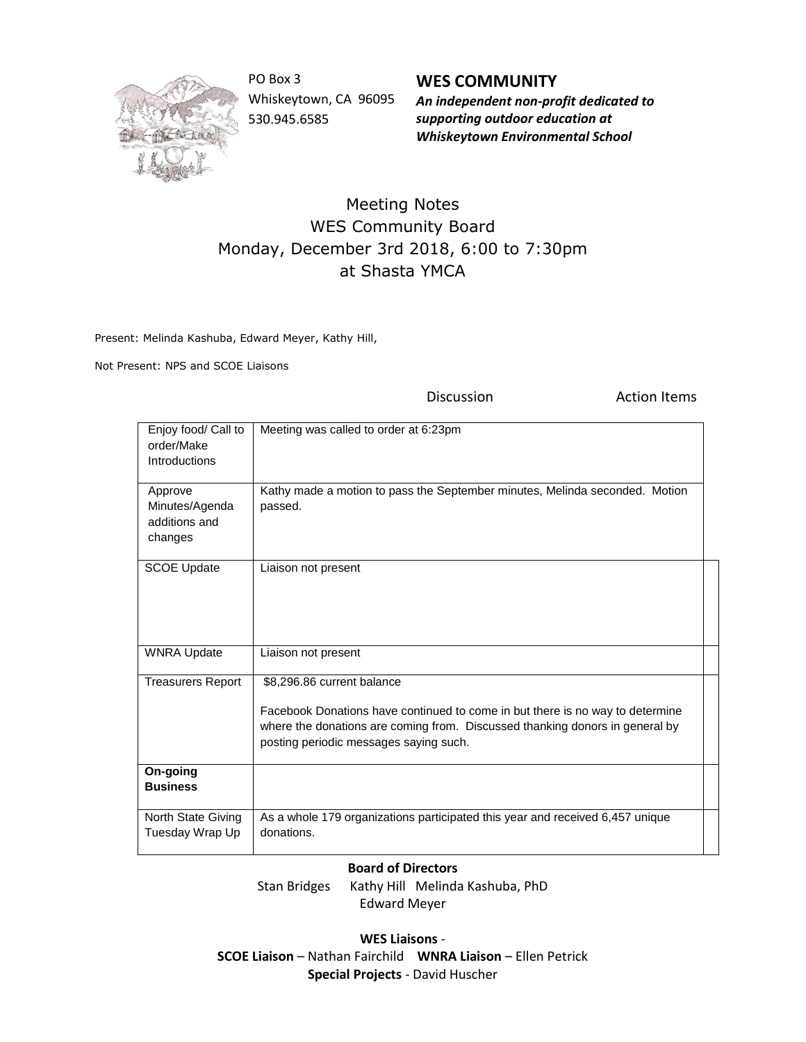

PO Box 3 Whiskeytown, CA 96095 530.945.6585

**WES COMMUNITY** *An independent non-profit dedicated to supporting outdoor education at Whiskeytown Environmental School*

## Meeting Notes WES Community Board Monday, December 3rd 2018, 6:00 to 7:30pm at Shasta YMCA

Present: Melinda Kashuba, Edward Meyer, Kathy Hill,

Not Present: NPS and SCOE Liaisons

Discussion **Action Items** Enjoy food/ Call to order/Make Introductions Meeting was called to order at 6:23pm Approve Minutes/Agenda additions and changes Kathy made a motion to pass the September minutes, Melinda seconded. Motion passed. SCOE Update | Liaison not present WNRA Update | Liaison not present Treasurers Report \$8,296.86 current balance Facebook Donations have continued to come in but there is no way to determine where the donations are coming from. Discussed thanking donors in general by posting periodic messages saying such. **On-going Business** North State Giving Tuesday Wrap Up As a whole 179 organizations participated this year and received 6,457 unique donations.

## **Board of Directors**

Stan Bridges Kathy Hill Melinda Kashuba, PhD Edward Meyer

**WES Liaisons** - **SCOE Liaison** – Nathan Fairchild **WNRA Liaison** – Ellen Petrick **Special Projects** - David Huscher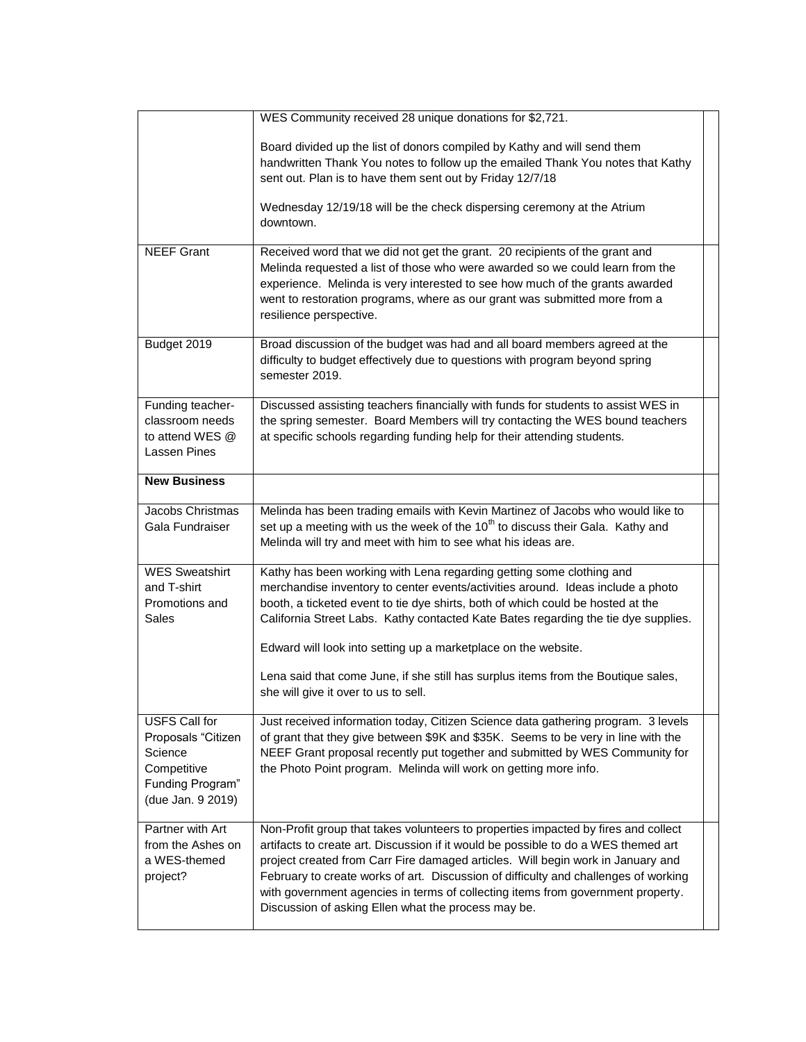|                                                                                                        | WES Community received 28 unique donations for \$2,721.                                                                                                                                                                                                                                                                                                                                                                                                                                                                         |  |
|--------------------------------------------------------------------------------------------------------|---------------------------------------------------------------------------------------------------------------------------------------------------------------------------------------------------------------------------------------------------------------------------------------------------------------------------------------------------------------------------------------------------------------------------------------------------------------------------------------------------------------------------------|--|
|                                                                                                        | Board divided up the list of donors compiled by Kathy and will send them<br>handwritten Thank You notes to follow up the emailed Thank You notes that Kathy<br>sent out. Plan is to have them sent out by Friday 12/7/18<br>Wednesday 12/19/18 will be the check dispersing ceremony at the Atrium<br>downtown.                                                                                                                                                                                                                 |  |
|                                                                                                        |                                                                                                                                                                                                                                                                                                                                                                                                                                                                                                                                 |  |
| <b>NEEF Grant</b>                                                                                      | Received word that we did not get the grant. 20 recipients of the grant and<br>Melinda requested a list of those who were awarded so we could learn from the<br>experience. Melinda is very interested to see how much of the grants awarded<br>went to restoration programs, where as our grant was submitted more from a<br>resilience perspective.                                                                                                                                                                           |  |
| Budget 2019                                                                                            | Broad discussion of the budget was had and all board members agreed at the<br>difficulty to budget effectively due to questions with program beyond spring<br>semester 2019.                                                                                                                                                                                                                                                                                                                                                    |  |
| Funding teacher-<br>classroom needs<br>to attend WES @<br>Lassen Pines                                 | Discussed assisting teachers financially with funds for students to assist WES in<br>the spring semester. Board Members will try contacting the WES bound teachers<br>at specific schools regarding funding help for their attending students.                                                                                                                                                                                                                                                                                  |  |
| <b>New Business</b>                                                                                    |                                                                                                                                                                                                                                                                                                                                                                                                                                                                                                                                 |  |
| Jacobs Christmas<br>Gala Fundraiser                                                                    | Melinda has been trading emails with Kevin Martinez of Jacobs who would like to<br>set up a meeting with us the week of the 10 <sup>th</sup> to discuss their Gala. Kathy and<br>Melinda will try and meet with him to see what his ideas are.                                                                                                                                                                                                                                                                                  |  |
| <b>WES Sweatshirt</b><br>and T-shirt<br>Promotions and<br><b>Sales</b>                                 | Kathy has been working with Lena regarding getting some clothing and<br>merchandise inventory to center events/activities around. Ideas include a photo<br>booth, a ticketed event to tie dye shirts, both of which could be hosted at the<br>California Street Labs. Kathy contacted Kate Bates regarding the tie dye supplies.<br>Edward will look into setting up a marketplace on the website.<br>Lena said that come June, if she still has surplus items from the Boutique sales,<br>she will give it over to us to sell. |  |
| USFS Call for<br>Proposals "Citizen<br>Science<br>Competitive<br>Funding Program"<br>(due Jan. 9 2019) | Just received information today, Citizen Science data gathering program. 3 levels<br>of grant that they give between \$9K and \$35K. Seems to be very in line with the<br>NEEF Grant proposal recently put together and submitted by WES Community for<br>the Photo Point program. Melinda will work on getting more info.                                                                                                                                                                                                      |  |
| Partner with Art<br>from the Ashes on<br>a WES-themed<br>project?                                      | Non-Profit group that takes volunteers to properties impacted by fires and collect<br>artifacts to create art. Discussion if it would be possible to do a WES themed art<br>project created from Carr Fire damaged articles. Will begin work in January and<br>February to create works of art. Discussion of difficulty and challenges of working<br>with government agencies in terms of collecting items from government property.<br>Discussion of asking Ellen what the process may be.                                    |  |